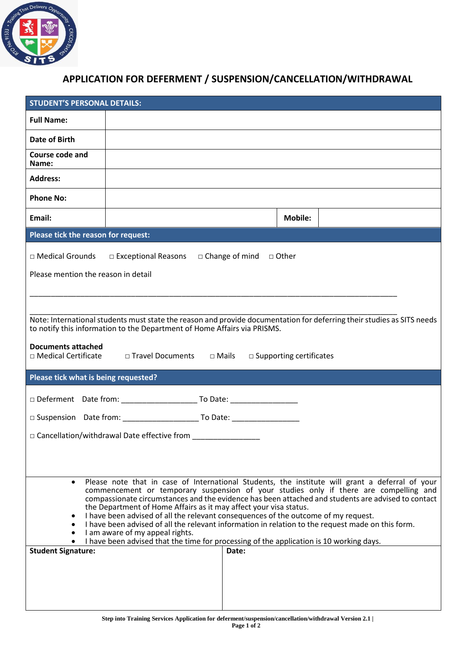

## **APPLICATION FOR DEFERMENT / SUSPENSION/CANCELLATION/WITHDRAWAL**

| <b>STUDENT'S PERSONAL DETAILS:</b>                                                                                                                                                                                                                                                                                                                                                                                                                                                                                                                                                                             |                                                                                      |  |                |  |  |  |  |
|----------------------------------------------------------------------------------------------------------------------------------------------------------------------------------------------------------------------------------------------------------------------------------------------------------------------------------------------------------------------------------------------------------------------------------------------------------------------------------------------------------------------------------------------------------------------------------------------------------------|--------------------------------------------------------------------------------------|--|----------------|--|--|--|--|
| <b>Full Name:</b>                                                                                                                                                                                                                                                                                                                                                                                                                                                                                                                                                                                              |                                                                                      |  |                |  |  |  |  |
| Date of Birth                                                                                                                                                                                                                                                                                                                                                                                                                                                                                                                                                                                                  |                                                                                      |  |                |  |  |  |  |
| Course code and<br>Name:                                                                                                                                                                                                                                                                                                                                                                                                                                                                                                                                                                                       |                                                                                      |  |                |  |  |  |  |
| <b>Address:</b>                                                                                                                                                                                                                                                                                                                                                                                                                                                                                                                                                                                                |                                                                                      |  |                |  |  |  |  |
| <b>Phone No:</b>                                                                                                                                                                                                                                                                                                                                                                                                                                                                                                                                                                                               |                                                                                      |  |                |  |  |  |  |
| Email:                                                                                                                                                                                                                                                                                                                                                                                                                                                                                                                                                                                                         |                                                                                      |  | <b>Mobile:</b> |  |  |  |  |
| Please tick the reason for request:                                                                                                                                                                                                                                                                                                                                                                                                                                                                                                                                                                            |                                                                                      |  |                |  |  |  |  |
|                                                                                                                                                                                                                                                                                                                                                                                                                                                                                                                                                                                                                | $\Box$ Medical Grounds $\Box$ Exceptional Reasons $\Box$ Change of mind $\Box$ Other |  |                |  |  |  |  |
| Please mention the reason in detail                                                                                                                                                                                                                                                                                                                                                                                                                                                                                                                                                                            |                                                                                      |  |                |  |  |  |  |
|                                                                                                                                                                                                                                                                                                                                                                                                                                                                                                                                                                                                                |                                                                                      |  |                |  |  |  |  |
|                                                                                                                                                                                                                                                                                                                                                                                                                                                                                                                                                                                                                |                                                                                      |  |                |  |  |  |  |
| Note: International students must state the reason and provide documentation for deferring their studies as SITS needs<br>to notify this information to the Department of Home Affairs via PRISMS.                                                                                                                                                                                                                                                                                                                                                                                                             |                                                                                      |  |                |  |  |  |  |
| <b>Documents attached</b>                                                                                                                                                                                                                                                                                                                                                                                                                                                                                                                                                                                      |                                                                                      |  |                |  |  |  |  |
| □ Medical Certificate □ Travel Documents □ Mails<br>$\square$ Supporting certificates                                                                                                                                                                                                                                                                                                                                                                                                                                                                                                                          |                                                                                      |  |                |  |  |  |  |
| Please tick what is being requested?                                                                                                                                                                                                                                                                                                                                                                                                                                                                                                                                                                           |                                                                                      |  |                |  |  |  |  |
|                                                                                                                                                                                                                                                                                                                                                                                                                                                                                                                                                                                                                |                                                                                      |  |                |  |  |  |  |
|                                                                                                                                                                                                                                                                                                                                                                                                                                                                                                                                                                                                                |                                                                                      |  |                |  |  |  |  |
| □ Cancellation/withdrawal Date effective from ________________                                                                                                                                                                                                                                                                                                                                                                                                                                                                                                                                                 |                                                                                      |  |                |  |  |  |  |
|                                                                                                                                                                                                                                                                                                                                                                                                                                                                                                                                                                                                                |                                                                                      |  |                |  |  |  |  |
|                                                                                                                                                                                                                                                                                                                                                                                                                                                                                                                                                                                                                |                                                                                      |  |                |  |  |  |  |
| Please note that in case of International Students, the institute will grant a deferral of your<br>$\bullet$<br>commencement or temporary suspension of your studies only if there are compelling and<br>compassionate circumstances and the evidence has been attached and students are advised to contact<br>the Department of Home Affairs as it may affect your visa status.<br>I have been advised of all the relevant consequences of the outcome of my request.<br>I have been advised of all the relevant information in relation to the request made on this form.<br>I am aware of my appeal rights. |                                                                                      |  |                |  |  |  |  |
| I have been advised that the time for processing of the application is 10 working days.<br><b>Student Signature:</b><br>Date:                                                                                                                                                                                                                                                                                                                                                                                                                                                                                  |                                                                                      |  |                |  |  |  |  |
|                                                                                                                                                                                                                                                                                                                                                                                                                                                                                                                                                                                                                |                                                                                      |  |                |  |  |  |  |